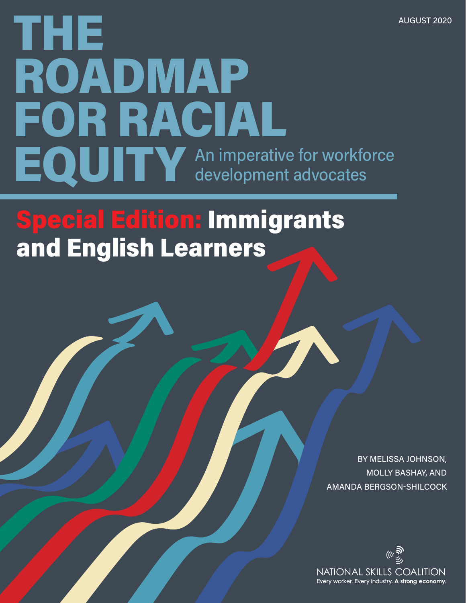# THE ROADMAP FOR RACIAL EQUITY An imperative for workforce development advocates

## Special Edition: Immigrants and English Learners

BY MELISSA JOHNSON, MOLLY BASHAY, AND AMANDA BERGSON-SHILCOCK

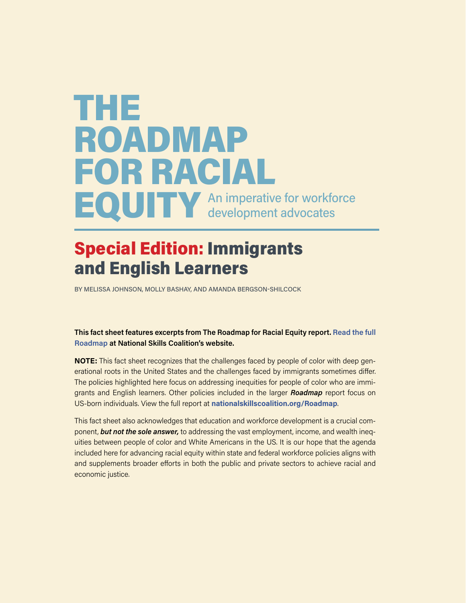## THE ROADMAP FOR RACIAL EQUITY An imperative for workforce

## Special Edition: Immigrants and English Learners

BY MELISSA JOHNSON, MOLLY BASHAY, AND AMANDA BERGSON-SHILCOCK

#### **This fact sheet features excerpts from The Roadmap for Racial Equity report. [Read the full](https://nationalskillscoalition.org/resources/publications/file/Racial-Equity-Report_6x9_web.pdf)  [Roadmap](https://nationalskillscoalition.org/resources/publications/file/Racial-Equity-Report_6x9_web.pdf) at National Skills Coalition's website.**

**NOTE:** This fact sheet recognizes that the challenges faced by people of color with deep generational roots in the United States and the challenges faced by immigrants sometimes differ. The policies highlighted here focus on addressing inequities for people of color who are immigrants and English learners. Other policies included in the larger *Roadmap* report focus on US-born individuals. View the full report at **[nationalskillscoalition.org/Roadmap](http://nationalskillscoalition.org/Roadmap)**.

This fact sheet also acknowledges that education and workforce development is a crucial component, *but not the sole answer,* to addressing the vast employment, income, and wealth inequities between people of color and White Americans in the US. It is our hope that the agenda included here for advancing racial equity within state and federal workforce policies aligns with and supplements broader efforts in both the public and private sectors to achieve racial and economic justice.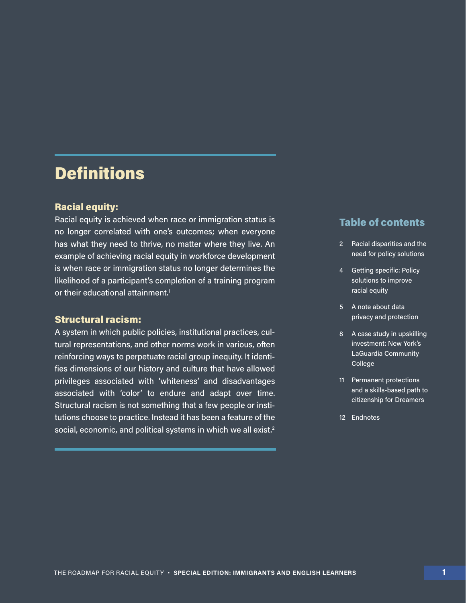## **Definitions**

#### Racial equity:

Racial equity is achieved when race or immigration status is no longer correlated with one's outcomes; when everyone has what they need to thrive, no matter where they live. An example of achieving racial equity in workforce development is when race or immigration status no longer determines the likelihood of a participant's completion of a training program or their educational attainment.<sup>1</sup>

#### Structural racism:

A system in which public policies, institutional practices, cultural representations, and other norms work in various, often reinforcing ways to perpetuate racial group inequity. It identifies dimensions of our history and culture that have allowed privileges associated with 'whiteness' and disadvantages associated with 'color' to endure and adapt over time. Structural racism is not something that a few people or institutions choose to practice. Instead it has been a feature of the social, economic, and political systems in which we all exist.<sup>2</sup>

#### Table of contents

- 2 Racial disparities and the need for policy solutions
- 4 Getting specific: Policy solutions to improve racial equity
- 5 A note about data privacy and protection
- 8 A case study in upskilling investment: New York's LaGuardia Community College
- 11 Permanent protections and a skills-based path to citizenship for Dreamers
- 12 Endnotes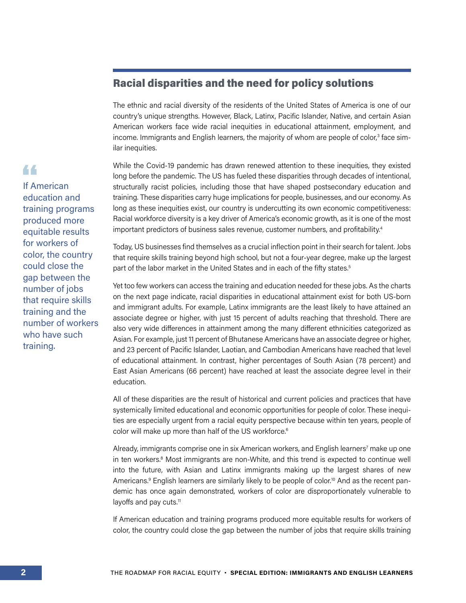#### Racial disparities and the need for policy solutions

The ethnic and racial diversity of the residents of the United States of America is one of our country's unique strengths. However, Black, Latinx, Pacific Islander, Native, and certain Asian American workers face wide racial inequities in educational attainment, employment, and income. Immigrants and English learners, the majority of whom are people of color, $^3$  face similar inequities.

While the Covid-19 pandemic has drawn renewed attention to these inequities, they existed long before the pandemic. The US has fueled these disparities through decades of intentional, structurally racist policies, including those that have shaped postsecondary education and training. These disparities carry huge implications for people, businesses, and our economy. As long as these inequities exist, our country is undercutting its own economic competitiveness: Racial workforce diversity is a key driver of America's economic growth, as it is one of the most important predictors of business sales revenue, customer numbers, and profitability.<sup>4</sup>

Today, US businesses find themselves as a crucial inflection point in their search for talent. Jobs that require skills training beyond high school, but not a four-year degree, make up the largest part of the labor market in the United States and in each of the fifty states.<sup>5</sup>

Yet too few workers can access the training and education needed for these jobs. As the charts on the next page indicate, racial disparities in educational attainment exist for both US-born and immigrant adults. For example, Latinx immigrants are the least likely to have attained an associate degree or higher, with just 15 percent of adults reaching that threshold. There are also very wide differences in attainment among the many different ethnicities categorized as Asian. For example, just 11 percent of Bhutanese Americans have an associate degree or higher, and 23 percent of Pacific Islander, Laotian, and Cambodian Americans have reached that level of educational attainment. In contrast, higher percentages of South Asian (78 percent) and East Asian Americans (66 percent) have reached at least the associate degree level in their education.

All of these disparities are the result of historical and current policies and practices that have systemically limited educational and economic opportunities for people of color. These inequities are especially urgent from a racial equity perspective because within ten years, people of color will make up more than half of the US workforce.<sup>6</sup>

Already, immigrants comprise one in six American workers, and English learners<sup>7</sup> make up one in ten workers.<sup>8</sup> Most immigrants are non-White, and this trend is expected to continue well into the future, with Asian and Latinx immigrants making up the largest shares of new Americans.<sup>9</sup> English learners are similarly likely to be people of color.<sup>10</sup> And as the recent pandemic has once again demonstrated, workers of color are disproportionately vulnerable to layoffs and pay cuts.<sup>11</sup>

If American education and training programs produced more equitable results for workers of color, the country could close the gap between the number of jobs that require skills training

If American education and training programs produced more equitable results for workers of color, the country could close the gap between the number of jobs that require skills training and the number of workers who have such training.

44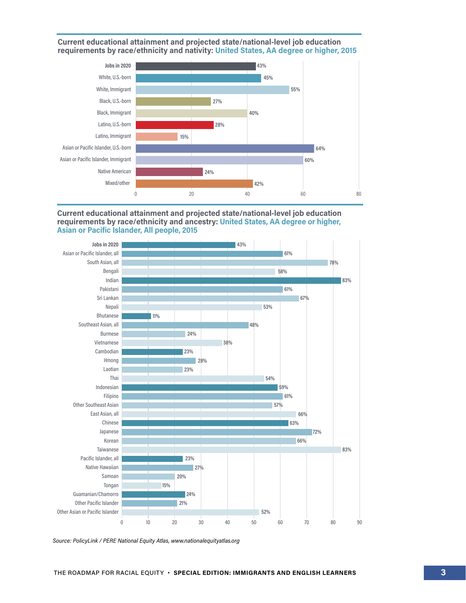



#### **Current educational attainment and projected state/national-level job education requirements by race/ethnicity and ancestry: United States, AA degree or higher, Asian or Pacific Islander, All people, 2015**



*Source: PolicyLink / PERE National Equity Atlas, www.nationalequityatlas.org*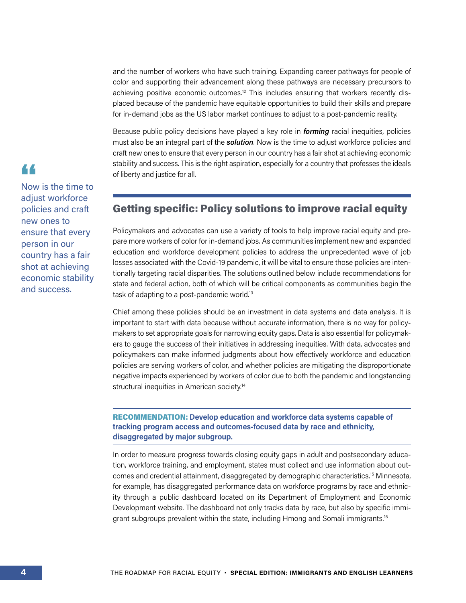and the number of workers who have such training. Expanding career pathways for people of color and supporting their advancement along these pathways are necessary precursors to achieving positive economic outcomes.<sup>12</sup> This includes ensuring that workers recently displaced because of the pandemic have equitable opportunities to build their skills and prepare for in-demand jobs as the US labor market continues to adjust to a post-pandemic reality.

Because public policy decisions have played a key role in *forming* racial inequities, policies must also be an integral part of the *solution*. Now is the time to adjust workforce policies and craft new ones to ensure that every person in our country has a fair shot at achieving economic stability and success. This is the right aspiration, especially for a country that professes the ideals of liberty and justice for all.

#### Getting specific: Policy solutions to improve racial equity

Policymakers and advocates can use a variety of tools to help improve racial equity and prepare more workers of color for in-demand jobs. As communities implement new and expanded education and workforce development policies to address the unprecedented wave of job losses associated with the Covid-19 pandemic, it will be vital to ensure those policies are intentionally targeting racial disparities. The solutions outlined below include recommendations for state and federal action, both of which will be critical components as communities begin the task of adapting to a post-pandemic world.13

Chief among these policies should be an investment in data systems and data analysis. It is important to start with data because without accurate information, there is no way for policymakers to set appropriate goals for narrowing equity gaps. Data is also essential for policymakers to gauge the success of their initiatives in addressing inequities. With data, advocates and policymakers can make informed judgments about how effectively workforce and education policies are serving workers of color, and whether policies are mitigating the disproportionate negative impacts experienced by workers of color due to both the pandemic and longstanding structural inequities in American society.<sup>14</sup>

#### RECOMMENDATION: **Develop education and workforce data systems capable of tracking program access and outcomes-focused data by race and ethnicity, disaggregated by major subgroup.**

In order to measure progress towards closing equity gaps in adult and postsecondary education, workforce training, and employment, states must collect and use information about outcomes and credential attainment, disaggregated by demographic characteristics.15 Minnesota, for example, has disaggregated performance data on workforce programs by race and ethnicity through a public dashboard located on its Department of Employment and Economic Development website. The dashboard not only tracks data by race, but also by specific immigrant subgroups prevalent within the state, including Hmong and Somali immigrants.<sup>16</sup>

### 44

Now is the time to adjust workforce policies and craft new ones to ensure that every person in our country has a fair shot at achieving economic stability and success.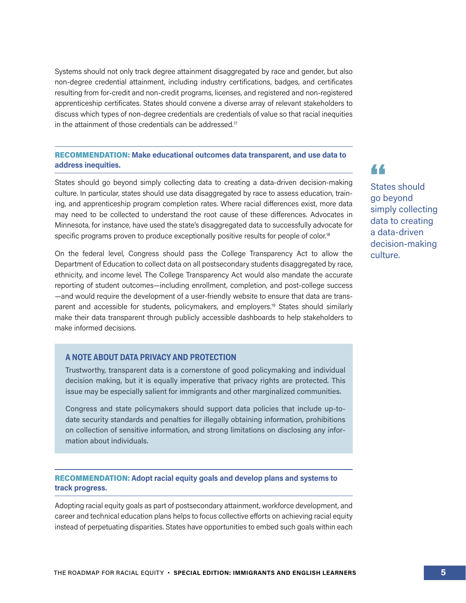Systems should not only track degree attainment disaggregated by race and gender, but also non-degree credential attainment, including industry certifications, badges, and certificates resulting from for-credit and non-credit programs, licenses, and registered and non-registered apprenticeship certificates. States should convene a diverse array of relevant stakeholders to discuss which types of non-degree credentials are credentials of value so that racial inequities in the attainment of those credentials can be addressed.<sup>17</sup>

#### RECOMMENDATION: **Make educational outcomes data transparent, and use data to address inequities.**

States should go beyond simply collecting data to creating a data-driven decision-making culture. In particular, states should use data disaggregated by race to assess education, training, and apprenticeship program completion rates. Where racial differences exist, more data may need to be collected to understand the root cause of these differences. Advocates in Minnesota, for instance, have used the state's disaggregated data to successfully advocate for specific programs proven to produce exceptionally positive results for people of color.<sup>18</sup>

On the federal level, Congress should pass the College Transparency Act to allow the Department of Education to collect data on all postsecondary students disaggregated by race, ethnicity, and income level. The College Transparency Act would also mandate the accurate reporting of student outcomes—including enrollment, completion, and post-college success —and would require the development of a user-friendly website to ensure that data are transparent and accessible for students, policymakers, and employers.19 States should similarly make their data transparent through publicly accessible dashboards to help stakeholders to make informed decisions.

#### **A NOTE ABOUT DATA PRIVACY AND PROTECTION**

Trustworthy, transparent data is a cornerstone of good policymaking and individual decision making, but it is equally imperative that privacy rights are protected. This issue may be especially salient for immigrants and other marginalized communities.

Congress and state policymakers should support data policies that include up-todate security standards and penalties for illegally obtaining information, prohibitions on collection of sensitive information, and strong limitations on disclosing any information about individuals.

RECOMMENDATION: **Adopt racial equity goals and develop plans and systems to track progress.**

Adopting racial equity goals as part of postsecondary attainment, workforce development, and career and technical education plans helps to focus collective efforts on achieving racial equity instead of perpetuating disparities. States have opportunities to embed such goals within each States should go beyond simply collecting data to creating a data-driven decision-making culture.

44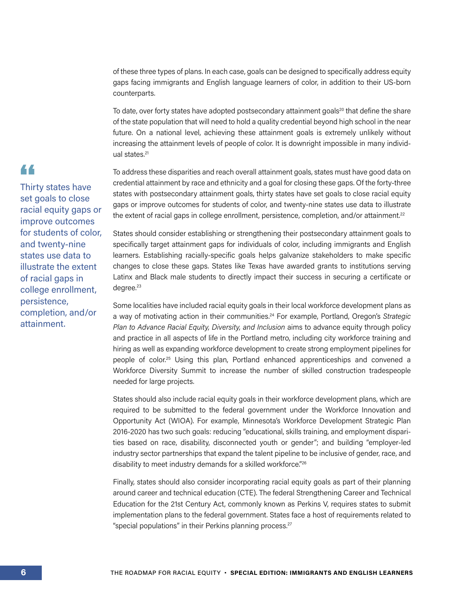of these three types of plans. In each case, goals can be designed to specifically address equity gaps facing immigrants and English language learners of color, in addition to their US-born counterparts.

To date, over forty states have adopted postsecondary attainment goals<sup>20</sup> that define the share of the state population that will need to hold a quality credential beyond high school in the near future. On a national level, achieving these attainment goals is extremely unlikely without increasing the attainment levels of people of color. It is downright impossible in many individual states.<sup>21</sup>

To address these disparities and reach overall attainment goals, states must have good data on credential attainment by race and ethnicity and a goal for closing these gaps. Of the forty-three states with postsecondary attainment goals, thirty states have set goals to close racial equity gaps or improve outcomes for students of color, and twenty-nine states use data to illustrate the extent of racial gaps in college enrollment, persistence, completion, and/or attainment.<sup>22</sup>

States should consider establishing or strengthening their postsecondary attainment goals to specifically target attainment gaps for individuals of color, including immigrants and English learners. Establishing racially-specific goals helps galvanize stakeholders to make specific changes to close these gaps. States like Texas have awarded grants to institutions serving Latinx and Black male students to directly impact their success in securing a certificate or degree.<sup>23</sup>

Some localities have included racial equity goals in their local workforce development plans as a way of motivating action in their communities.24 For example, Portland, Oregon's *Strategic Plan to Advance Racial Equity, Diversity, and Inclusion* aims to advance equity through policy and practice in all aspects of life in the Portland metro, including city workforce training and hiring as well as expanding workforce development to create strong employment pipelines for people of color.25 Using this plan, Portland enhanced apprenticeships and convened a Workforce Diversity Summit to increase the number of skilled construction tradespeople needed for large projects.

States should also include racial equity goals in their workforce development plans, which are required to be submitted to the federal government under the Workforce Innovation and Opportunity Act (WIOA). For example, Minnesota's Workforce Development Strategic Plan 2016-2020 has two such goals: reducing "educational, skills training, and employment disparities based on race, disability, disconnected youth or gender"; and building "employer-led industry sector partnerships that expand the talent pipeline to be inclusive of gender, race, and disability to meet industry demands for a skilled workforce."26

Finally, states should also consider incorporating racial equity goals as part of their planning around career and technical education (CTE). The federal Strengthening Career and Technical Education for the 21st Century Act, commonly known as Perkins V, requires states to submit implementation plans to the federal government. States face a host of requirements related to "special populations" in their Perkins planning process.<sup>27</sup>

#### Thirty states have set goals to close racial equity gaps or improve outcomes for students of color, and twenty-nine

44

states use data to illustrate the extent of racial gaps in college enrollment, persistence, completion, and/or attainment.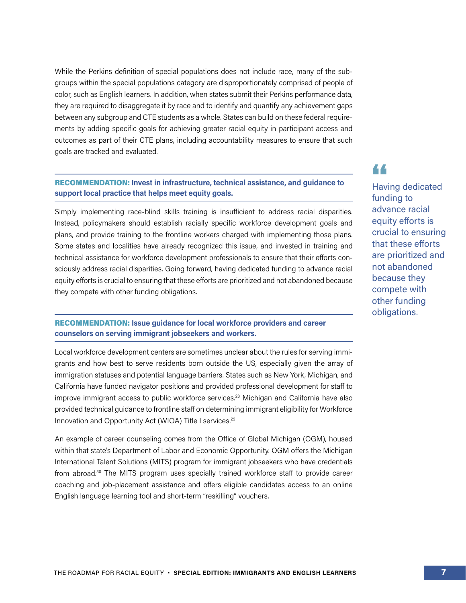While the Perkins definition of special populations does not include race, many of the subgroups within the special populations category are disproportionately comprised of people of color, such as English learners. In addition, when states submit their Perkins performance data, they are required to disaggregate it by race and to identify and quantify any achievement gaps between any subgroup and CTE students as a whole. States can build on these federal requirements by adding specific goals for achieving greater racial equity in participant access and outcomes as part of their CTE plans, including accountability measures to ensure that such goals are tracked and evaluated.

#### RECOMMENDATION: **Invest in infrastructure, technical assistance, and guidance to support local practice that helps meet equity goals.**

Simply implementing race-blind skills training is insufficient to address racial disparities. Instead, policymakers should establish racially specific workforce development goals and plans, and provide training to the frontline workers charged with implementing those plans. Some states and localities have already recognized this issue, and invested in training and technical assistance for workforce development professionals to ensure that their efforts consciously address racial disparities. Going forward, having dedicated funding to advance racial equity efforts is crucial to ensuring that these efforts are prioritized and not abandoned because they compete with other funding obligations.

#### RECOMMENDATION: **Issue guidance for local workforce providers and career counselors on serving immigrant jobseekers and workers.**

Local workforce development centers are sometimes unclear about the rules for serving immigrants and how best to serve residents born outside the US, especially given the array of immigration statuses and potential language barriers. States such as New York, Michigan, and California have funded navigator positions and provided professional development for staff to improve immigrant access to public workforce services.28 Michigan and California have also provided technical guidance to frontline staff on determining immigrant eligibility for Workforce Innovation and Opportunity Act (WIOA) Title I services.<sup>29</sup>

An example of career counseling comes from the Office of Global Michigan (OGM), housed within that state's Department of Labor and Economic Opportunity. OGM offers the Michigan International Talent Solutions (MITS) program for immigrant jobseekers who have credentials from abroad.<sup>30</sup> The MITS program uses specially trained workforce staff to provide career coaching and job-placement assistance and offers eligible candidates access to an online English language learning tool and short-term "reskilling" vouchers.

Having dedicated funding to advance racial equity efforts is crucial to ensuring that these efforts are prioritized and not abandoned because they compete with other funding

44

obligations.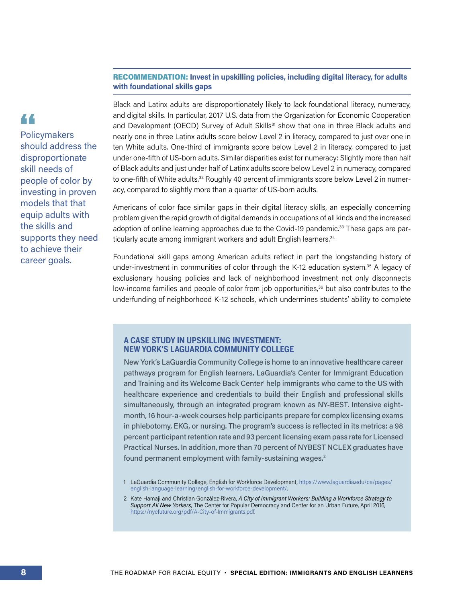#### RECOMMENDATION: **Invest in upskilling policies, including digital literacy, for adults with foundational skills gaps**

44 **Policymakers** should address the disproportionate skill needs of people of color by investing in proven models that that equip adults with the skills and supports they need to achieve their career goals.

Black and Latinx adults are disproportionately likely to lack foundational literacy, numeracy, and digital skills. In particular, 2017 U.S. data from the Organization for Economic Cooperation and Development (OECD) Survey of Adult Skills<sup>31</sup> show that one in three Black adults and nearly one in three Latinx adults score below Level 2 in literacy, compared to just over one in ten White adults. One-third of immigrants score below Level 2 in literacy, compared to just under one-fifth of US-born adults. Similar disparities exist for numeracy: Slightly more than half of Black adults and just under half of Latinx adults score below Level 2 in numeracy, compared to one-fifth of White adults.<sup>32</sup> Roughly 40 percent of immigrants score below Level 2 in numeracy, compared to slightly more than a quarter of US-born adults.

Americans of color face similar gaps in their digital literacy skills, an especially concerning problem given the rapid growth of digital demands in occupations of all kinds and the increased adoption of online learning approaches due to the Covid-19 pandemic.<sup>33</sup> These gaps are particularly acute among immigrant workers and adult English learners.<sup>34</sup>

Foundational skill gaps among American adults reflect in part the longstanding history of under-investment in communities of color through the K-12 education system.<sup>35</sup> A legacy of exclusionary housing policies and lack of neighborhood investment not only disconnects low-income families and people of color from job opportunities,<sup>36</sup> but also contributes to the underfunding of neighborhood K-12 schools, which undermines students' ability to complete

#### **A CASE STUDY IN UPSKILLING INVESTMENT: NEW YORK'S LAGUARDIA COMMUNITY COLLEGE**

New York's LaGuardia Community College is home to an innovative healthcare career pathways program for English learners. LaGuardia's Center for Immigrant Education and Training and its Welcome Back Center' help immigrants who came to the US with healthcare experience and credentials to build their English and professional skills simultaneously, through an integrated program known as NY-BEST. Intensive eightmonth, 16 hour-a-week courses help participants prepare for complex licensing exams in phlebotomy, EKG, or nursing. The program's success is reflected in its metrics: a 98 percent participant retention rate and 93 percent licensing exam pass rate for Licensed Practical Nurses. In addition, more than 70 percent of NYBEST NCLEX graduates have found permanent employment with family-sustaining wages.2

<sup>1</sup> LaGuardia Community College, English for Workforce Development[, https://www.laguardia.edu/ce/pages/](https://www.laguardia.edu/ce/pages/english-language-learning/english-for-workforce-development/)  [english-language-learning/english-for-workforce-development/](https://www.laguardia.edu/ce/pages/english-language-learning/english-for-workforce-development/).

<sup>2</sup> Kate Hamaji and Christian González-Rivera, *A City of Immigrant Workers: Building a Workforce Strategy to Support All New Yorkers,* The Center for Popular Democracy and Center for an Urban Future, April 2016, <https://nycfuture.org/pdf/A-City-of-Immigrants.pdf>.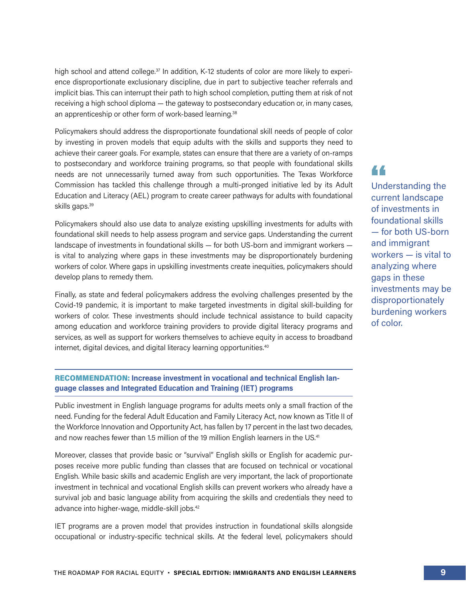high school and attend college.<sup>37</sup> In addition, K-12 students of color are more likely to experience disproportionate exclusionary discipline, due in part to subjective teacher referrals and implicit bias. This can interrupt their path to high school completion, putting them at risk of not receiving a high school diploma — the gateway to postsecondary education or, in many cases, an apprenticeship or other form of work-based learning.<sup>38</sup>

Policymakers should address the disproportionate foundational skill needs of people of color by investing in proven models that equip adults with the skills and supports they need to achieve their career goals. For example, states can ensure that there are a variety of on-ramps to postsecondary and workforce training programs, so that people with foundational skills needs are not unnecessarily turned away from such opportunities. The Texas Workforce Commission has tackled this challenge through a multi-pronged initiative led by its Adult Education and Literacy (AEL) program to create career pathways for adults with foundational skills gaps.<sup>39</sup>

Policymakers should also use data to analyze existing upskilling investments for adults with foundational skill needs to help assess program and service gaps. Understanding the current landscape of investments in foundational skills — for both US-born and immigrant workers is vital to analyzing where gaps in these investments may be disproportionately burdening workers of color. Where gaps in upskilling investments create inequities, policymakers should develop plans to remedy them.

Finally, as state and federal policymakers address the evolving challenges presented by the Covid-19 pandemic, it is important to make targeted investments in digital skill-building for workers of color. These investments should include technical assistance to build capacity among education and workforce training providers to provide digital literacy programs and services, as well as support for workers themselves to achieve equity in access to broadband internet, digital devices, and digital literacy learning opportunities.<sup>40</sup>

RECOMMENDATION: **Increase investment in vocational and technical English language classes and Integrated Education and Training (IET) programs** 

Public investment in English language programs for adults meets only a small fraction of the need. Funding for the federal Adult Education and Family Literacy Act, now known as Title II of the Workforce Innovation and Opportunity Act, has fallen by 17 percent in the last two decades, and now reaches fewer than 1.5 million of the 19 million English learners in the US.<sup>41</sup>

Moreover, classes that provide basic or "survival" English skills or English for academic purposes receive more public funding than classes that are focused on technical or vocational English. While basic skills and academic English are very important, the lack of proportionate investment in technical and vocational English skills can prevent workers who already have a survival job and basic language ability from acquiring the skills and credentials they need to advance into higher-wage, middle-skill jobs.42

IET programs are a proven model that provides instruction in foundational skills alongside occupational or industry-specific technical skills. At the federal level, policymakers should

## 44

Understanding the current landscape of investments in foundational skills — for both US-born and immigrant workers — is vital to analyzing where gaps in these investments may be disproportionately burdening workers of color.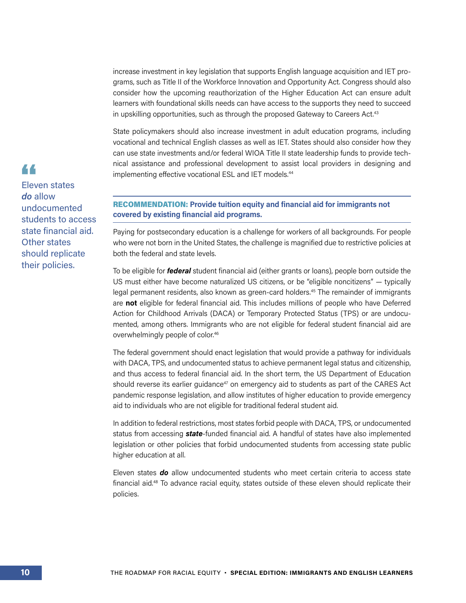increase investment in key legislation that supports English language acquisition and IET programs, such as Title II of the Workforce Innovation and Opportunity Act. Congress should also consider how the upcoming reauthorization of the Higher Education Act can ensure adult learners with foundational skills needs can have access to the supports they need to succeed in upskilling opportunities, such as through the proposed Gateway to Careers Act.<sup>43</sup>

State policymakers should also increase investment in adult education programs, including vocational and technical English classes as well as IET. States should also consider how they can use state investments and/or federal WIOA Title II state leadership funds to provide technical assistance and professional development to assist local providers in designing and implementing effective vocational ESL and IET models.<sup>44</sup>

#### RECOMMENDATION: **Provide tuition equity and financial aid for immigrants not covered by existing financial aid programs.**

Paying for postsecondary education is a challenge for workers of all backgrounds. For people who were not born in the United States, the challenge is magnified due to restrictive policies at both the federal and state levels.

To be eligible for *federal* student financial aid (either grants or loans), people born outside the US must either have become naturalized US citizens, or be "eligible noncitizens" — typically legal permanent residents, also known as green-card holders.<sup>45</sup> The remainder of immigrants are **not** eligible for federal financial aid. This includes millions of people who have Deferred Action for Childhood Arrivals (DACA) or Temporary Protected Status (TPS) or are undocumented, among others. Immigrants who are not eligible for federal student financial aid are overwhelmingly people of color.46

The federal government should enact legislation that would provide a pathway for individuals with DACA, TPS, and undocumented status to achieve permanent legal status and citizenship, and thus access to federal financial aid. In the short term, the US Department of Education should reverse its earlier guidance<sup>47</sup> on emergency aid to students as part of the CARES Act pandemic response legislation, and allow institutes of higher education to provide emergency aid to individuals who are not eligible for traditional federal student aid.

In addition to federal restrictions, most states forbid people with DACA, TPS, or undocumented status from accessing *state*-funded financial aid. A handful of states have also implemented legislation or other policies that forbid undocumented students from accessing state public higher education at all.

Eleven states *do* allow undocumented students who meet certain criteria to access state financial aid.48 To advance racial equity, states outside of these eleven should replicate their policies.

### 44

Eleven states *do* allow undocumented students to access state financial aid. Other states should replicate their policies.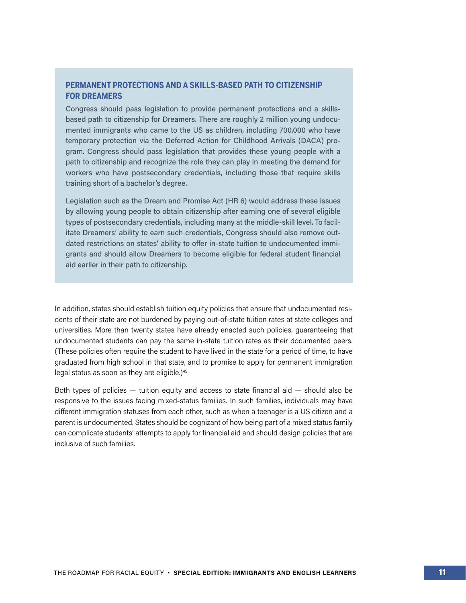#### **PERMANENT PROTECTIONS AND A SKILLS-BASED PATH TO CITIZENSHIP FOR DREAMERS**

Congress should pass legislation to provide permanent protections and a skillsbased path to citizenship for Dreamers. There are roughly 2 million young undocumented immigrants who came to the US as children, including 700,000 who have temporary protection via the Deferred Action for Childhood Arrivals (DACA) program. Congress should pass legislation that provides these young people with a path to citizenship and recognize the role they can play in meeting the demand for workers who have postsecondary credentials, including those that require skills training short of a bachelor's degree.

Legislation such as the Dream and Promise Act (HR 6) would address these issues by allowing young people to obtain citizenship after earning one of several eligible types of postsecondary credentials, including many at the middle-skill level. To facilitate Dreamers' ability to earn such credentials, Congress should also remove outdated restrictions on states' ability to offer in-state tuition to undocumented immigrants and should allow Dreamers to become eligible for federal student financial aid earlier in their path to citizenship.

In addition, states should establish tuition equity policies that ensure that undocumented residents of their state are not burdened by paying out-of-state tuition rates at state colleges and universities. More than twenty states have already enacted such policies, guaranteeing that undocumented students can pay the same in-state tuition rates as their documented peers. (These policies often require the student to have lived in the state for a period of time, to have graduated from high school in that state, and to promise to apply for permanent immigration legal status as soon as they are eligible.)<sup>49</sup>

Both types of policies  $-$  tuition equity and access to state financial aid  $-$  should also be responsive to the issues facing mixed-status families. In such families, individuals may have different immigration statuses from each other, such as when a teenager is a US citizen and a parent is undocumented. States should be cognizant of how being part of a mixed status family can complicate students' attempts to apply for financial aid and should design policies that are inclusive of such families.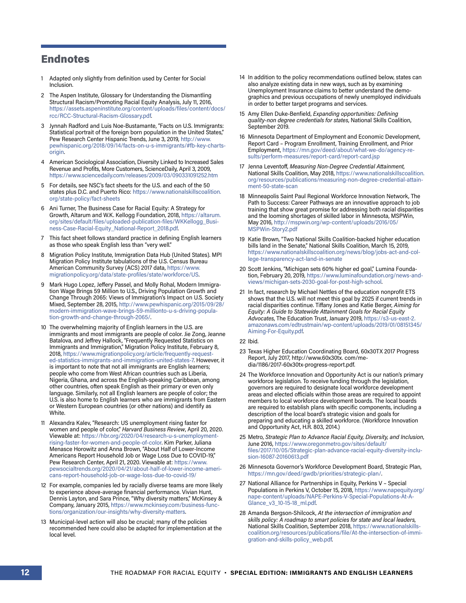#### Endnotes

- 1 Adapted only slightly from definition used by Center for Social Inclusion.
- 2 The Aspen Institute, Glossary for Understanding the Dismantling Structural Racism/Promoting Racial Equity Analysis, July 11, 2016, [https://assets.aspeninstitute.org/content/uploads/files/content/docs/](https://assets.aspeninstitute.org/content/uploads/files/content/docs/rcc/RCC-Structural-Racism-Glossary.pdf) [rcc/RCC-Structural-Racism-Glossary.pdf.](https://assets.aspeninstitute.org/content/uploads/files/content/docs/rcc/RCC-Structural-Racism-Glossary.pdf)
- 3 Jynnah Radford and Luis Noe-Bustamante, "Facts on U.S. Immigrants: Statistical portrait of the foreign born population in the United States," Pew Research Center Hispanic Trends, June 3, 2019, [http://www.](http://www.pewhispanic.org/2018/09/14/facts-on-u-s-immigrants/#fb-key-charts-origin) [pewhispanic.org/2018/09/14/facts-on-u-s-immigrants/#fb-key-charts](http://www.pewhispanic.org/2018/09/14/facts-on-u-s-immigrants/#fb-key-charts-origin)[origin](http://www.pewhispanic.org/2018/09/14/facts-on-u-s-immigrants/#fb-key-charts-origin).
- 4 American Sociological Association, Diversity Linked to Increased Sales Revenue and Profits, More Customers, ScienceDaily, April 3, 2009, <https://www.sciencedaily.com/releases/2009/03/090331091252.htm>
- 5 For details, see NSC's fact sheets for the U.S. and each of the 50 states plus D.C. and Puerto Rico: [https://www.nationalskillscoalition.](https://www.nationalskillscoalition.org/state-policy/fact-sheets) [org/state-policy/fact-sheets](https://www.nationalskillscoalition.org/state-policy/fact-sheets)
- 6 Ani Turner, The Business Case for Racial Equity: A Strategy for Growth, Altarum and W.K. Kellogg Foundation, 2018, [https://altarum.](https://altarum.org/sites/default/files/uploaded-publication-files/WKKellogg_Business-Case-Racial-Equity_National-Report_2018.pdf) [org/sites/default/files/uploaded-publication-files/WKKellogg\\_Busi](https://altarum.org/sites/default/files/uploaded-publication-files/WKKellogg_Business-Case-Racial-Equity_National-Report_2018.pdf)[ness-Case-Racial-Equity\\_National-Report\\_2018.pdf.](https://altarum.org/sites/default/files/uploaded-publication-files/WKKellogg_Business-Case-Racial-Equity_National-Report_2018.pdf)
- 7 This fact sheet follows standard practice in defining English learners as those who speak English less than "very well."
- 8 Migration Policy Institute, Immigration Data Hub (United States). MPI Migration Policy Institute tabulations of the U.S. Census Bureau American Community Survey (ACS) 2017 data, [https://www.](https://www.migrationpolicy.org/data/state-profiles/state/workforce/US) [migrationpolicy.org/data/state-profiles/state/workforce/US](https://www.migrationpolicy.org/data/state-profiles/state/workforce/US).
- 9 Mark Hugo Lopez, Jeffery Passel, and Molly Rohal, Modern Immigration Wage Brings 59 Million to U.S., Driving Population Growth and Change Through 2065: Views of Immigration's Impact on U.S. Society Mixed, September 28, 2015, [http://www.pewhispanic.org/2015/09/28/](http://www.pewhispanic.org/2015/09/28/modern-immigration-wave-brings-59-millionto-u-s-driving-population-growth-and-change-through-2065/) [modern-immigration-wave-brings-59-millionto-u-s-driving-popula](http://www.pewhispanic.org/2015/09/28/modern-immigration-wave-brings-59-millionto-u-s-driving-population-growth-and-change-through-2065/)[tion-growth-and-change-through-2065/.](http://www.pewhispanic.org/2015/09/28/modern-immigration-wave-brings-59-millionto-u-s-driving-population-growth-and-change-through-2065/)
- 10 The overwhelming majority of English learners in the U.S. are immigrants and most immigrants are people of color. Jie Zong, Jeanne Batalova, and Jeffrey Hallock, "Frequently Requested Statistics on Immigrants and Immigration," Migration Policy Institute, February 8, 2018, [https://www.migrationpolicy.org/article/frequently-request](https://www.migrationpolicy.org/article/frequently-requested-statistics-immigrants-and-immigration-united-states-7)[ed-statistics-immigrants-and-immigration-united-states-7.](https://www.migrationpolicy.org/article/frequently-requested-statistics-immigrants-and-immigration-united-states-7) However, it is important to note that not all immigrants are English learners; people who come from West African countries such as Liberia, Nigeria, Ghana, and across the English-speaking Caribbean, among other countries, often speak English as their primary or even only language. Similarly, not all English learners are people of color; the U.S. is also home to English learners who are immigrants from Eastern or Western European countries (or other nations) and identify as White.
- 11 Alexandra Kalev, "Research: US unemployment rising faster for women and people of color," *Harvard Business Review*, April 20, 2020. Viewable at: [https://hbr.org/2020/04/research-u-s-unemployment](https://hbr.org/2020/04/research-u-s-unemployment-rising-faster-for-women-and-people-of-color)[rising-faster-for-women-and-people-of-color](https://hbr.org/2020/04/research-u-s-unemployment-rising-faster-for-women-and-people-of-color). Kim Parker, Juliana Menasce Horowitz and Anna Brown, "About Half of Lower-Income Americans Report Household Job or Wage Loss Due to COVID-19," Pew Research Center, April 21, 2020. Viewable at: [https://www.](https://www.pewsocialtrends.org/2020/04/21/about-half-of-lower-income-americans-report-household-job-or-wage-loss-due-to-covid-19/) [pewsocialtrends.org/2020/04/21/about-half-of-lower-income-ameri](https://www.pewsocialtrends.org/2020/04/21/about-half-of-lower-income-americans-report-household-job-or-wage-loss-due-to-covid-19/)[cans-report-household-job-or-wage-loss-due-to-covid-19/](https://www.pewsocialtrends.org/2020/04/21/about-half-of-lower-income-americans-report-household-job-or-wage-loss-due-to-covid-19/)
- 12 For example, companies led by racially diverse teams are more likely to experience above-average financial performance. Vivian Hunt, Dennis Layton, and Sara Prince, "Why diversity matters," McKinsey & Company, January 2015, [https://www.mckinsey.com/business-func](https://www.mckinsey.com/business-functions/organization/our-insights/why-diversity-matters)[tions/organization/our-insights/why-diversity-matters](https://www.mckinsey.com/business-functions/organization/our-insights/why-diversity-matters).
- 13 Municipal-level action will also be crucial; many of the policies recommended here could also be adapted for implementation at the local level.
- 14 In addition to the policy recommendations outlined below, states can also analyze existing data in new ways, such as by examining Unemployment Insurance claims to better understand the demographics and previous occupations of newly unemployed individuals in order to better target programs and services.
- 15 Amy Ellen Duke-Benfield, *Expanding opportunities: Defining quality-non degree credentials for states*, National Skills Coalition, September 2019.
- 16 Minnesota Department of Employment and Economic Development, Report Card – Program Enrollment, Training Enrollment, and Prior Employment, [https://mn.gov/deed/about/what-we-do/agency-re](https://mn.gov/deed/about/what-we-do/agency-results/perform-measures/report-card/report-card.jsp)[sults/perform-measures/report-card/report-card.jsp](https://mn.gov/deed/about/what-we-do/agency-results/perform-measures/report-card/report-card.jsp)
- 17 Jenna Leventoff, *Measuring Non-Degree Credential Attainment*, National Skills Coalition, May 2018, [https://www.nationalskillscoalition.](https://www.nationalskillscoalition.org/resources/publications/measuring-non-degree-credential-attainment-50-state-scan) [org/resources/publications/measuring-non-degree-credential-attain](https://www.nationalskillscoalition.org/resources/publications/measuring-non-degree-credential-attainment-50-state-scan)[ment-50-state-scan](https://www.nationalskillscoalition.org/resources/publications/measuring-non-degree-credential-attainment-50-state-scan)
- 18 Minneapolis Saint Paul Regional Workforce Innovation Network, The Path to Success: Career Pathways are an innovative approach to job training that show great promise for addressing both racial disparities and the looming shortages of skilled labor in Minnesota, MSPWin, May 2016, [http://mspwin.org/wp-content/uploads/2016/05/](http://mspwin.org/wp-content/uploads/2016/05/MSPWin-Story2.pdf) [MSPWin-Story2.pdf](http://mspwin.org/wp-content/uploads/2016/05/MSPWin-Story2.pdf)
- 19 Katie Brown, "Two National Skills Coalition-backed higher education bills land in the Senate," National Skills Coalition, March 15, 2019, [https://www.nationalskillscoalition.org/news/blog/jobs-act-and-col](https://www.nationalskillscoalition.org/news/blog/jobs-act-and-college-transparency-act-land-in-senate)[lege-transparency-act-land-in-senate](https://www.nationalskillscoalition.org/news/blog/jobs-act-and-college-transparency-act-land-in-senate)
- 20 Scott Jenkins, "Michigan sets 60% higher ed goal," Lumina Foundation, February 20, 2019, [https://www.luminafoundation.org/news-and](https://www.luminafoundation.org/news-and-views/michigan-sets-2030-goal-for-post-high-school)[views/michigan-sets-2030-goal-for-post-high-school.](https://www.luminafoundation.org/news-and-views/michigan-sets-2030-goal-for-post-high-school)
- 21 In fact, research by Michael Nettles of the education nonprofit ETS shows that the U.S. will not meet this goal by 2025 if current trends in racial disparities continue. Tiffany Jones and Katie Berger, *Aiming for Equity: A Guide to Statewide Attainment Goals for Racial Equity Advocates*, The Education Trust, January 2019, [https://s3-us-east-2.](https://s3-us-east-2.amazonaws.com/edtrustmain/wp-content/uploads/2019/01/08151345/Aiming-For-Equity.pdf) [amazonaws.com/edtrustmain/wp-content/uploads/2019/01/08151345/](https://s3-us-east-2.amazonaws.com/edtrustmain/wp-content/uploads/2019/01/08151345/Aiming-For-Equity.pdf) [Aiming-For-Equity.pdf](https://s3-us-east-2.amazonaws.com/edtrustmain/wp-content/uploads/2019/01/08151345/Aiming-For-Equity.pdf).
- 22 Ibid.
- 23 Texas Higher Education Coordinating Board, 60x30TX 2017 Progress Report, July 2017, http://www.60x30tx. com/media/1186/2017-60x30tx-progress-report.pdf.
- 24 The Workforce Innovation and Opportunity Act is our nation's primary workforce legislation. To receive funding through the legislation, governors are required to designate local workforce development areas and elected officials within those areas are required to appoint members to local workforce development boards. The local boards are required to establish plans with specific components, including a description of the local board's strategic vision and goals for preparing and educating a skilled workforce. (Workforce Innovation and Opportunity Act, H.R. 803, 2014.)
- 25 Metro, *Strategic Plan to Advance Racial Equity, Diversity, and Inclusion*, June 2016, [https://www.oregonmetro.gov/sites/default/](https://www.oregonmetro.gov/sites/default/files/2017/10/05/Strategic-plan-advance-racial-equity-diversity-inclusion-16087-20160613.pdf) [files/2017/10/05/Strategic-plan-advance-racial-equity-diversity-inclu](https://www.oregonmetro.gov/sites/default/files/2017/10/05/Strategic-plan-advance-racial-equity-diversity-inclusion-16087-20160613.pdf)[sion-16087-20160613.pdf](https://www.oregonmetro.gov/sites/default/files/2017/10/05/Strategic-plan-advance-racial-equity-diversity-inclusion-16087-20160613.pdf)
- 26 Minnesota Governor's Workforce Development Board, Strategic Plan, <https://mn.gov/deed/gwdb/priorities/strategic-plan/>.
- 27 National Alliance for Partnerships in Equity, Perkins V Special Populations in Perkins V, October 15, 2018, [https://www.napequity.org/](https://www.napequity.org/nape-content/uploads/NAPE-Perkins-V-Special-Populations-At-A-Glance_v3_10-15-18_ml.pdf) [nape-content/uploads/NAPE-Perkins-V-Special-Populations-At-A-](https://www.napequity.org/nape-content/uploads/NAPE-Perkins-V-Special-Populations-At-A-Glance_v3_10-15-18_ml.pdf)[Glance\\_v3\\_10-15-18\\_ml.pdf](https://www.napequity.org/nape-content/uploads/NAPE-Perkins-V-Special-Populations-At-A-Glance_v3_10-15-18_ml.pdf).
- 28 Amanda Bergson-Shilcock, *At the intersection of immigration and skills policy: A roadmap to smart policies for state and local leaders*, National Skills Coalition, September 2018, [https://www.nationalskills](https://www.nationalskillscoalition.org/resources/publications/file/At-the-intersection-of-immigration-and-skills-policy_web.pdf)[coalition.org/resources/publications/file/At-the-intersection-of-immi](https://www.nationalskillscoalition.org/resources/publications/file/At-the-intersection-of-immigration-and-skills-policy_web.pdf)[gration-and-skills-policy\\_web.pdf](https://www.nationalskillscoalition.org/resources/publications/file/At-the-intersection-of-immigration-and-skills-policy_web.pdf).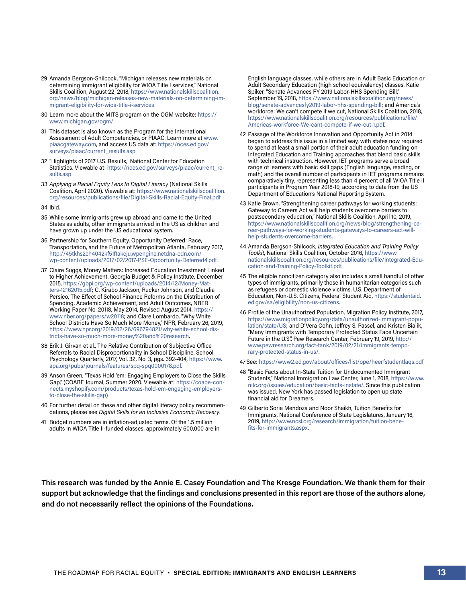- 29 Amanda Bergson-Shilcock, "Michigan releases new materials on determining immigrant eligibility for WIOA Title I services," National Skills Coalition, August 22, 2018, [https://www.nationalskillscoalition.](https://www.nationalskillscoalition.org/news/blog/michigan-releases-new-materials-on-determining-immigrant-eligibility-for-wioa-title-i-services) [org/news/blog/michigan-releases-new-materials-on-determining-im](https://www.nationalskillscoalition.org/news/blog/michigan-releases-new-materials-on-determining-immigrant-eligibility-for-wioa-title-i-services)[migrant-eligibility-for-wioa-title-i-services](https://www.nationalskillscoalition.org/news/blog/michigan-releases-new-materials-on-determining-immigrant-eligibility-for-wioa-title-i-services)
- 30 Learn more about the MITS program on the OGM website: [https://](https://www.michigan.gov/ogm/) [www.michigan.gov/ogm/](https://www.michigan.gov/ogm/)
- 31 This dataset is also known as the Program for the International Assessment of Adult Competencies, or PIAAC. Learn more at [www.](http://www.piaacgateway.com) [piaacgateway.com](http://www.piaacgateway.com), and access US data at: [https://nces.ed.gov/](https://nces.ed.gov/surveys/piaac/current_results.asp) [surveys/piaac/current\\_results.asp](https://nces.ed.gov/surveys/piaac/current_results.asp)
- 32 "Highlights of 2017 U.S. Results," National Center for Education Statistics. Viewable at: [https://nces.ed.gov/surveys/piaac/current\\_re](https://nces.ed.gov/surveys/piaac/current_results.asp)[sults.asp](https://nces.ed.gov/surveys/piaac/current_results.asp)
- 33 *Applying a Racial Equity Lens to Digital Literacy* (National Skills Coalition, April 2020). Viewable at: [https://www.nationalskillscoalition.](https://www.nationalskillscoalition.org/resources/publications/applying-a-racial) [org/resources/publications/file/Digital-Skills-Racial-Equity-Final.pdf](https://www.nationalskillscoalition.org/resources/publications/applying-a-racial)
- 34 Ibid.
- 35 While some immigrants grew up abroad and came to the United States as adults, other immigrants arrived in the US as children and have grown up under the US educational system.
- 36 Partnership for Southern Equity, Opportunity Deferred: Race, Transportation, and the Future of Metropolitan Atlanta, February 2017, [http://45tkhs2ch4042kf51f1akcju.wpengine.netdna-cdn.com/](http://45tkhs2ch4042kf51f1akcju.wpengine.netdna-cdn.com/wp-content/uploads/2017/02/2017-PSE-Opportun) [wp-content/uploads/2017/02/2017-PSE-Opportunity-Deferred4.pdf.](http://45tkhs2ch4042kf51f1akcju.wpengine.netdna-cdn.com/wp-content/uploads/2017/02/2017-PSE-Opportun)
- 37 Claire Suggs, Money Matters: Increased Education Investment Linked to Higher Achievement, Georgia Budget & Policy Institute, December 2015, [https://gbpi.org/wp-content/uploads/2014/12/Money-Mat](https://gbpi.org/wp-content/uploads/2014/12/Money-Matters-12162015.pdf)[ters-12162015.pdf;](https://gbpi.org/wp-content/uploads/2014/12/Money-Matters-12162015.pdf) C. Kirabo Jackson, Rucker Johnson, and Claudia Persico, The Effect of School Finance Reforms on the Distribution of Spending, Academic Achievement, and Adult Outcomes, NBER Working Paper No. 20118, May 2014, Revised August 2014, [https://](https://www.nber.org/papers/w20118) [www.nber.org/papers/w20118;](https://www.nber.org/papers/w20118) and Clare Lombardo, "Why White School Districts Have So Much More Money," NPR, February 26, 2019, [https://www.npr.org/2019/02/26/696794821/why-white-school-dis](https://www.npr.org/2019/02/26/696794821/why-white-school-districts-have-so-much-more-money%20and%20)[tricts-have-so-much-more-money%20and%20research](https://www.npr.org/2019/02/26/696794821/why-white-school-districts-have-so-much-more-money%20and%20).
- 38 Erik J. Girvan et al., The Relative Contribution of Subjective Office Referrals to Racial Disproportionality in School Discipline, School Psychology Quarterly, 2017, Vol. 32, No. 3, pgs. 392-404, [https://www.](https://www.apa.org/pubs/journals/features/spq-spq0000178.pdf) [apa.org/pubs/journals/features/spq-spq0000178.pdf](https://www.apa.org/pubs/journals/features/spq-spq0000178.pdf).
- 39 Anson Green, "Texas Hold 'em: Engaging Employers to Close the Skills Gap," (COABE Journal, Summer 2020. Viewable at: [https://coabe-con](https://coabe-connects.myshopify.com/products/texas-hold-em-engaging-employers-to-close-the-skills-gap)[nects.myshopify.com/products/texas-hold-em-engaging-employers](https://coabe-connects.myshopify.com/products/texas-hold-em-engaging-employers-to-close-the-skills-gap)[to-close-the-skills-gap](https://coabe-connects.myshopify.com/products/texas-hold-em-engaging-employers-to-close-the-skills-gap))
- 40 For further detail on these and other digital literacy policy recommendations, please see *Digital Skills for an Inclusive Economic Recovery*.
- 41 Budget numbers are in inflation-adjusted terms. Of the 1.5 million adults in WIOA Title II-funded classes, approximately 600,000 are in

English language classes, while others are in Adult Basic Education or Adult Secondary Education (high school equivalency) classes. Katie Spiker, "Senate Advances FY 2019 Labor-HHS Spending Bill," September 19, 2018, [https://www.nationalskillscoalition.org/news/](https://www.nationalskillscoalition.org/news/blog/senate-advancesfy2019-labor-hhs-spending-bill) [blog/senate-advancesfy2019-labor-hhs-spending-bill;](https://www.nationalskillscoalition.org/news/blog/senate-advancesfy2019-labor-hhs-spending-bill) and America's workforce: We can't compete if we cut, National Skills Coalition, 2018, [https://www.nationalskillscoalition.org/resources/publications/file/](https://www.nationalskillscoalition.org/resources/publications/file/Americas-workforce-We-cant-compete-if-we-cut-1.pdf) [Americas-workforce-We-cant-compete-if-we-cut-1.pdf](https://www.nationalskillscoalition.org/resources/publications/file/Americas-workforce-We-cant-compete-if-we-cut-1.pdf).

- 42 Passage of the Workforce Innovation and Opportunity Act in 2014 began to address this issue in a limited way, with states now required to spend at least a small portion of their adult education funding on Integrated Education and Training approaches that blend basic skills with technical instruction. However, IET programs serve a broad range of learners with basic skill gaps (English language, reading, or math) and the overall number of participants in IET programs remains comparatively tiny, representing less than 4 percent of all WIOA Title II participants in Program Year 2018-19, according to data from the US Department of Education's National Reporting System.
- 43 Katie Brown, "Strengthening career pathways for working students: Gateway to Careers Act will help students overcome barriers to postsecondary education," National Skills Coalition, April 10, 2019, [https://www.nationalskillscoalition.org/news/blog/strengthening-ca](https://www.nationalskillscoalition.org/news/blog/strengthening-career-pathways-for-working-students-gateways-to-careers-act-will-help-students-overcome-barriers)[reer-pathways-for-working-students-gateways-to-careers-act-will](https://www.nationalskillscoalition.org/news/blog/strengthening-career-pathways-for-working-students-gateways-to-careers-act-will-help-students-overcome-barriers)[help-students-overcome-barriers](https://www.nationalskillscoalition.org/news/blog/strengthening-career-pathways-for-working-students-gateways-to-careers-act-will-help-students-overcome-barriers).
- 44 Amanda Bergson-Shilcock, *Integrated Education and Training Policy Toolkit*, National Skills Coalition, October 2016, [https://www.](https://www.nationalskillscoalition.org/resources/publications/file/Integrated-Education-and-Training-Policy-Toolkit.pdf) [nationalskillscoalition.org/resources/publications/file/Integrated-Edu](https://www.nationalskillscoalition.org/resources/publications/file/Integrated-Education-and-Training-Policy-Toolkit.pdf)[cation-and-Training-Policy-Toolkit.pdf.](https://www.nationalskillscoalition.org/resources/publications/file/Integrated-Education-and-Training-Policy-Toolkit.pdf)
- 45 The eligible noncitizen category also includes a small handful of other types of immigrants, primarily those in humanitarian categories such as refugees or domestic violence victims. U.S. Department of Education, Non-U.S. Citizens, Federal Student Aid, [https://studentaid.](https://studentaid.ed.gov/sa/eligibility/non-us-citizens) [ed.gov/sa/eligibility/non-us-citizens.](https://studentaid.ed.gov/sa/eligibility/non-us-citizens)
- 46 Profile of the Unauthorized Population, Migration Policy Institute, 2017, [https://www.migrationpolicy.org/data/unauthorized-immigrant-popu](https://www.migrationpolicy.org/data/unauthorized-immigrant-population/state/US)[lation/state/US](https://www.migrationpolicy.org/data/unauthorized-immigrant-population/state/US); and D'Vera Cohn, Jeffrey S. Passel, and Kristen Bialik, "Many Immigrants with Temporary Protected Status Face Uncertain Future in the U.S.", Pew Research Center, February 19, 2019, [http://](http://www.pewresearch.org/fact-tank/2019/02/21/immigrants-temporary-protected-status-in-us/) [www.pewresearch.org/fact-tank/2019/02/21/immigrants-tempo](http://www.pewresearch.org/fact-tank/2019/02/21/immigrants-temporary-protected-status-in-us/)[rary-protected-status-in-us/.](http://www.pewresearch.org/fact-tank/2019/02/21/immigrants-temporary-protected-status-in-us/)

47 See:<https://www2.ed.gov/about/offices/list/ope/heerfstudentfaqs.pdf>

- 48 "Basic Facts about In-State Tuition for Undocumented Immigrant Students," National Immigration Law Center, June 1, 2018, [https://www.](https://www.nilc.org/issues/education/basic-facts-instate/) [nilc.org/issues/education/basic-facts-instate/.](https://www.nilc.org/issues/education/basic-facts-instate/) Since this publication was issued, New York has passed legislation to open up state financial aid for Dreamers.
- 49 Gilberto Soria Mendoza and Noor Shaikh, Tuition Benefits for Immigrants, National Conference of State Legislatures, January 16, 2019, [http://www.ncsl.org/research/immigration/tuition-bene](http://www.ncsl.org/research/immigration/tuition-benefits-for-immigrants.aspx)[fits-for-immigrants.aspx.](http://www.ncsl.org/research/immigration/tuition-benefits-for-immigrants.aspx)

**This research was funded by the Annie E. Casey Foundation and The Kresge Foundation. We thank them for their support but acknowledge that the findings and conclusions presented in this report are those of the authors alone, and do not necessarily reflect the opinions of the Foundations.**